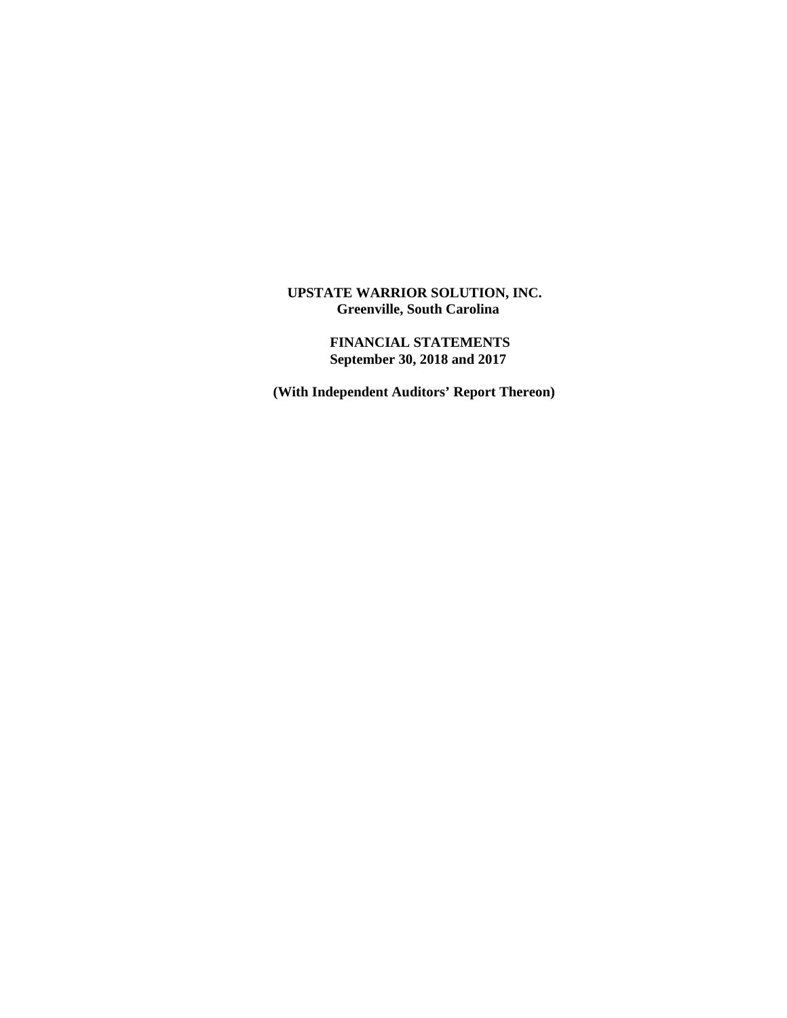# **UPSTATE WARRIOR SOLUTION, INC. Greenville, South Carolina**

 **FINANCIAL STATEMENTS September 30, 2018 and 2017** 

 **(With Independent Auditors' Report Thereon)**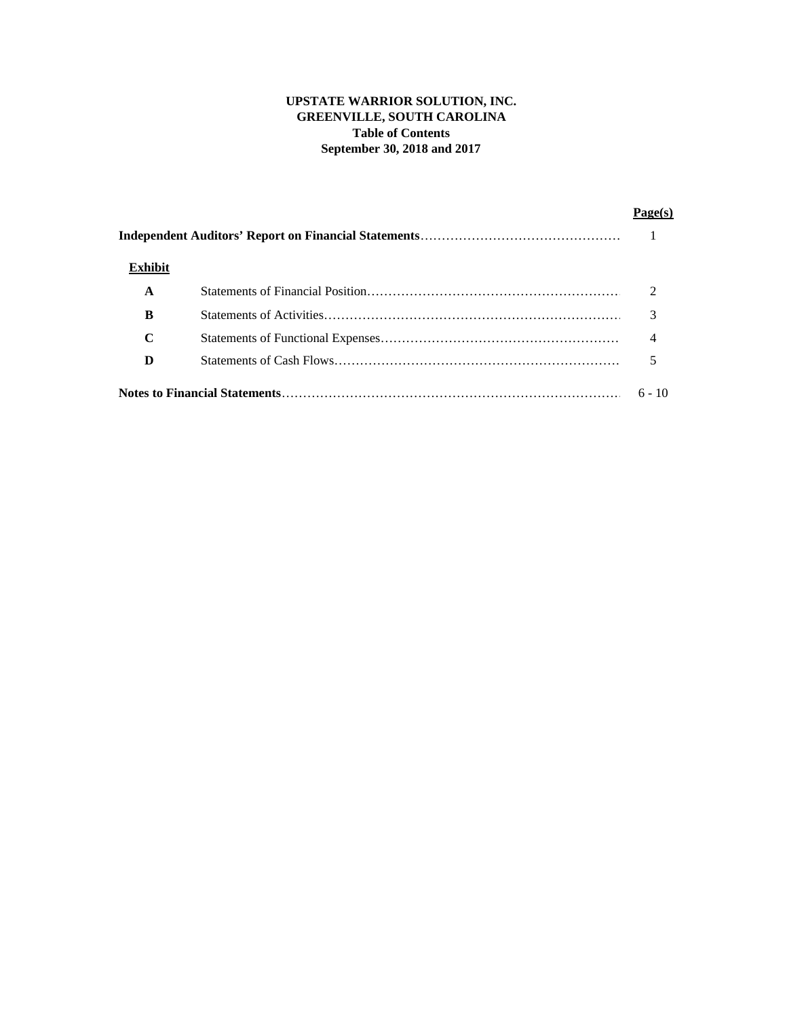# **UPSTATE WARRIOR SOLUTION, INC. GREENVILLE, SOUTH CAROLINA Table of Contents September 30, 2018 and 2017**

|                | Page(s)  |
|----------------|----------|
|                |          |
| <b>Exhibit</b> |          |
| A              |          |
| B              | 3        |
| C              | 4        |
| D              |          |
|                | $6 - 10$ |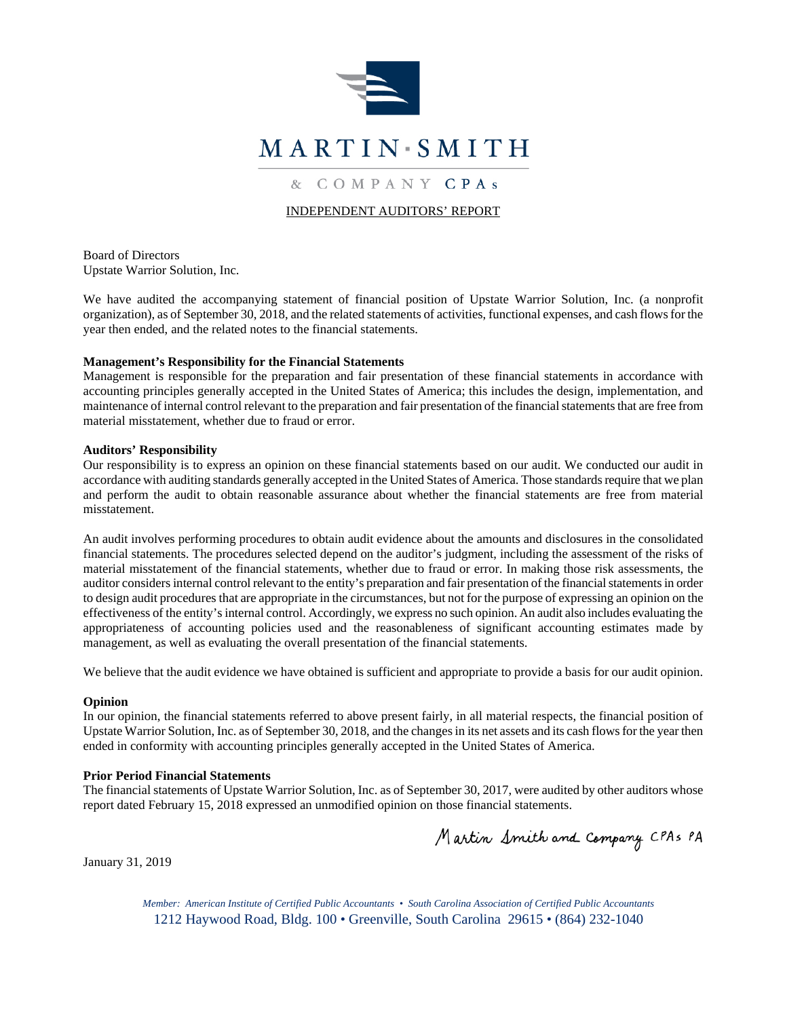

& COMPANY CPAS

# INDEPENDENT AUDITORS' REPORT

Board of Directors Upstate Warrior Solution, Inc.

We have audited the accompanying statement of financial position of Upstate Warrior Solution, Inc. (a nonprofit organization), as of September 30, 2018, and the related statements of activities, functional expenses, and cash flows for the year then ended, and the related notes to the financial statements.

## **Management's Responsibility for the Financial Statements**

Management is responsible for the preparation and fair presentation of these financial statements in accordance with accounting principles generally accepted in the United States of America; this includes the design, implementation, and maintenance of internal control relevant to the preparation and fair presentation of the financial statements that are free from material misstatement, whether due to fraud or error.

## **Auditors' Responsibility**

Our responsibility is to express an opinion on these financial statements based on our audit. We conducted our audit in accordance with auditing standards generally accepted in the United States of America. Those standards require that we plan and perform the audit to obtain reasonable assurance about whether the financial statements are free from material misstatement.

An audit involves performing procedures to obtain audit evidence about the amounts and disclosures in the consolidated financial statements. The procedures selected depend on the auditor's judgment, including the assessment of the risks of material misstatement of the financial statements, whether due to fraud or error. In making those risk assessments, the auditor considers internal control relevant to the entity's preparation and fair presentation of the financial statements in order to design audit procedures that are appropriate in the circumstances, but not for the purpose of expressing an opinion on the effectiveness of the entity's internal control. Accordingly, we express no such opinion. An audit also includes evaluating the appropriateness of accounting policies used and the reasonableness of significant accounting estimates made by management, as well as evaluating the overall presentation of the financial statements.

We believe that the audit evidence we have obtained is sufficient and appropriate to provide a basis for our audit opinion.

# **Opinion**

In our opinion, the financial statements referred to above present fairly, in all material respects, the financial position of Upstate Warrior Solution, Inc. as of September 30, 2018, and the changes in its net assets and its cash flows for the year then ended in conformity with accounting principles generally accepted in the United States of America.

# **Prior Period Financial Statements**

The financial statements of Upstate Warrior Solution, Inc. as of September 30, 2017, were audited by other auditors whose report dated February 15, 2018 expressed an unmodified opinion on those financial statements.

Martin Smith and Company CPAS PA

January 31, 2019

 *Member: American Institute of Certified Public Accountants • South Carolina Association of Certified Public Accountants*  1212 Haywood Road, Bldg. 100 • Greenville, South Carolina 29615 • (864) 232-1040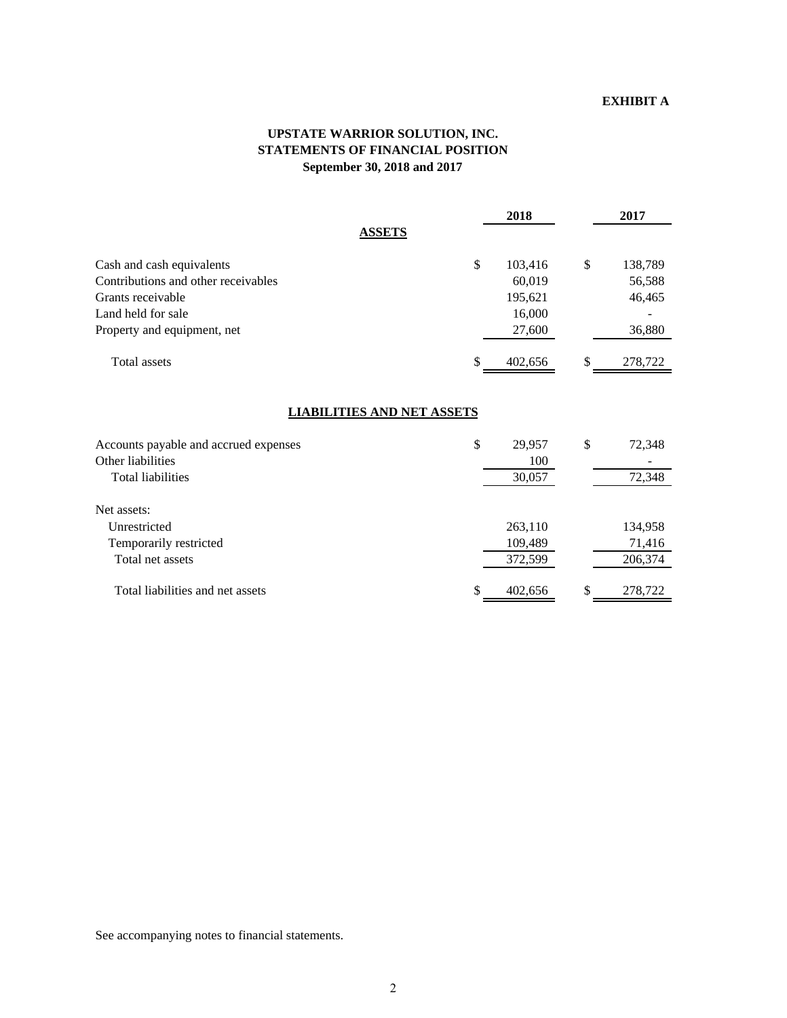# **EXHIBIT A**

# **UPSTATE WARRIOR SOLUTION, INC. STATEMENTS OF FINANCIAL POSITION September 30, 2018 and 2017**

|                                       |                                   | 2018    | 2017          |
|---------------------------------------|-----------------------------------|---------|---------------|
|                                       | <b>ASSETS</b>                     |         |               |
| Cash and cash equivalents             | \$                                | 103,416 | \$<br>138,789 |
| Contributions and other receivables   |                                   | 60,019  | 56,588        |
| Grants receivable                     |                                   | 195,621 | 46,465        |
| Land held for sale                    |                                   | 16,000  |               |
| Property and equipment, net           |                                   | 27,600  | 36,880        |
| <b>Total assets</b>                   | \$                                | 402,656 | \$<br>278,722 |
|                                       | <u>LIABILITIES AND NET ASSETS</u> |         |               |
| Accounts payable and accrued expenses | \$                                | 29,957  | \$<br>72,348  |
| Other liabilities                     |                                   | 100     |               |
| <b>Total liabilities</b>              |                                   | 30,057  | 72,348        |
| Net assets:                           |                                   |         |               |
| Unrestricted                          |                                   | 263,110 | 134,958       |
| Temporarily restricted                |                                   | 109,489 | 71,416        |
| Total net assets                      |                                   | 372,599 | 206,374       |
| Total liabilities and net assets      | S                                 | 402,656 | \$<br>278,722 |

See accompanying notes to financial statements.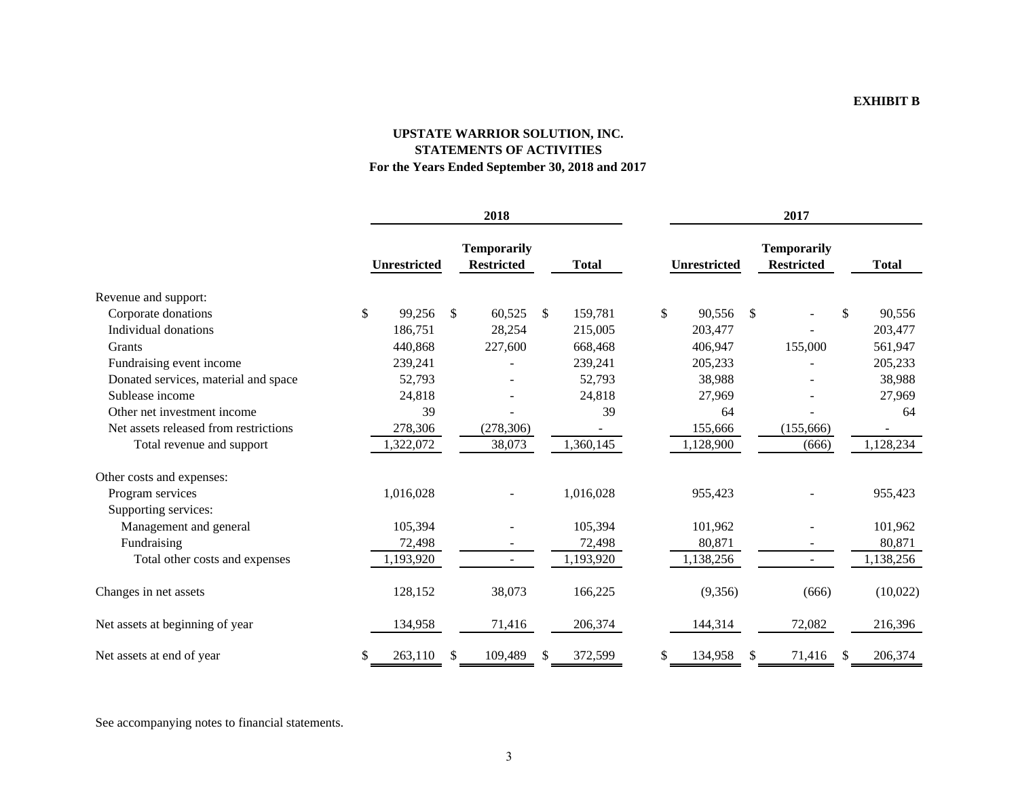# **UPSTATE WARRIOR SOLUTION, INC. STATEMENTS OF ACTIVITIESFor the Years Ended September 30, 2018 and 2017**

|                                       | 2018 |                     |              | 2017                                    |               |              |                     |              |                                         |    |              |
|---------------------------------------|------|---------------------|--------------|-----------------------------------------|---------------|--------------|---------------------|--------------|-----------------------------------------|----|--------------|
|                                       |      | <b>Unrestricted</b> |              | <b>Temporarily</b><br><b>Restricted</b> |               | <b>Total</b> | <b>Unrestricted</b> |              | <b>Temporarily</b><br><b>Restricted</b> |    | <b>Total</b> |
| Revenue and support:                  |      |                     |              |                                         |               |              |                     |              |                                         |    |              |
| Corporate donations                   | \$   | 99,256              | $\mathbb{S}$ | 60,525                                  | <sup>\$</sup> | 159,781      | \$<br>90,556        | $\mathbb{S}$ |                                         | \$ | 90,556       |
| <b>Individual donations</b>           |      | 186,751             |              | 28,254                                  |               | 215,005      | 203,477             |              |                                         |    | 203,477      |
| Grants                                |      | 440,868             |              | 227,600                                 |               | 668,468      | 406.947             |              | 155,000                                 |    | 561,947      |
| Fundraising event income              |      | 239,241             |              |                                         |               | 239,241      | 205,233             |              |                                         |    | 205,233      |
| Donated services, material and space  |      | 52,793              |              |                                         |               | 52,793       | 38,988              |              |                                         |    | 38,988       |
| Sublease income                       |      | 24,818              |              |                                         |               | 24,818       | 27,969              |              |                                         |    | 27,969       |
| Other net investment income           |      | 39                  |              |                                         |               | 39           | 64                  |              |                                         |    | 64           |
| Net assets released from restrictions |      | 278,306             |              | (278, 306)                              |               |              | 155,666             |              | (155,666)                               |    |              |
| Total revenue and support             |      | 1,322,072           |              | 38,073                                  |               | 1,360,145    | 1,128,900           |              | (666)                                   |    | 1,128,234    |
| Other costs and expenses:             |      |                     |              |                                         |               |              |                     |              |                                         |    |              |
| Program services                      |      | 1,016,028           |              |                                         |               | 1,016,028    | 955,423             |              |                                         |    | 955,423      |
| Supporting services:                  |      |                     |              |                                         |               |              |                     |              |                                         |    |              |
| Management and general                |      | 105,394             |              |                                         |               | 105,394      | 101,962             |              |                                         |    | 101,962      |
| Fundraising                           |      | 72,498              |              |                                         |               | 72,498       | 80,871              |              |                                         |    | 80,871       |
| Total other costs and expenses        |      | 1,193,920           |              |                                         |               | 1,193,920    | 1,138,256           |              |                                         |    | 1,138,256    |
| Changes in net assets                 |      | 128,152             |              | 38,073                                  |               | 166,225      | (9,356)             |              | (666)                                   |    | (10,022)     |
| Net assets at beginning of year       |      | 134,958             |              | 71,416                                  |               | 206,374      | 144,314             |              | 72,082                                  |    | 216,396      |
| Net assets at end of year             | \$   | 263,110             | \$.          | 109,489                                 |               | 372,599      | 134,958             | S            | 71,416                                  |    | 206,374      |

See accompanying notes to financial statements.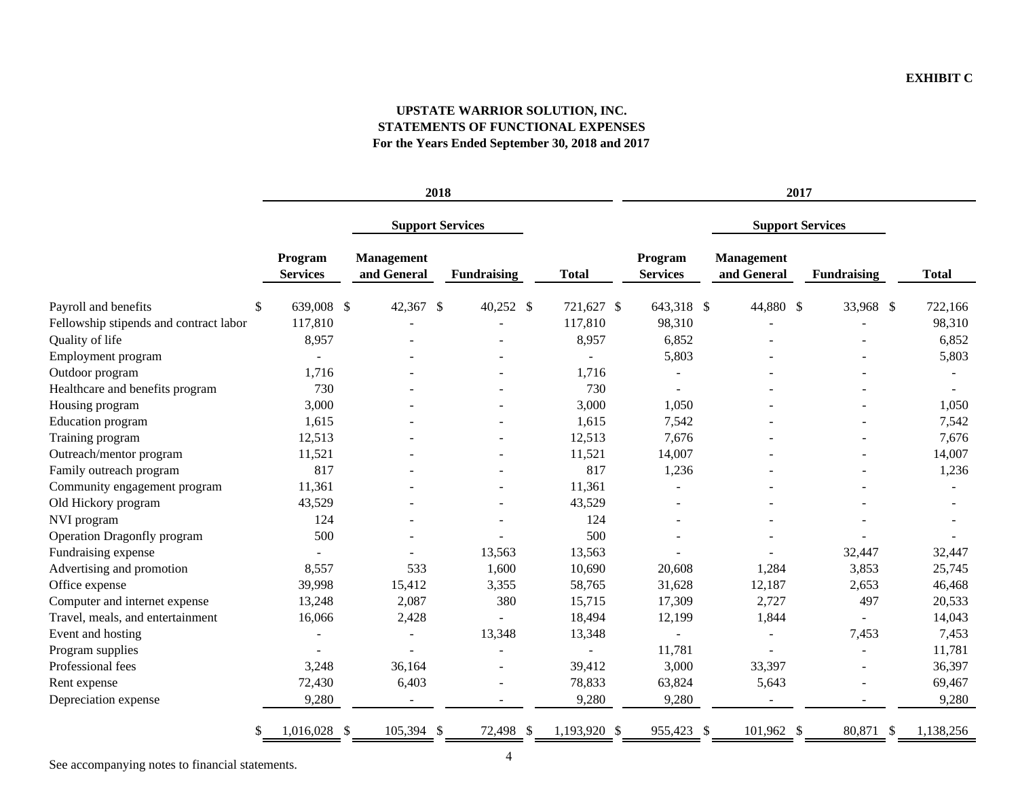# **UPSTATE WARRIOR SOLUTION, INC. STATEMENTS OF FUNCTIONAL EXPENSES For the Years Ended September 30, 2018 and 2017**

|                                        | 2018                       |                                  |                         |              | 2017                       |                                  |                    |              |  |  |  |
|----------------------------------------|----------------------------|----------------------------------|-------------------------|--------------|----------------------------|----------------------------------|--------------------|--------------|--|--|--|
|                                        |                            | <b>Support Services</b>          |                         |              |                            | <b>Support Services</b>          |                    |              |  |  |  |
|                                        | Program<br><b>Services</b> | <b>Management</b><br>and General | <b>Fundraising</b>      | <b>Total</b> | Program<br><b>Services</b> | <b>Management</b><br>and General | <b>Fundraising</b> | <b>Total</b> |  |  |  |
| Payroll and benefits<br>S              | 639,008 \$                 | 42,367 \$                        | 40,252 \$               | 721,627 \$   | 643,318 \$                 | 44,880 \$                        | 33,968 \$          | 722,166      |  |  |  |
| Fellowship stipends and contract labor | 117,810                    |                                  |                         | 117,810      | 98,310                     |                                  |                    | 98,310       |  |  |  |
| Quality of life                        | 8,957                      |                                  |                         | 8,957        | 6,852                      |                                  |                    | 6,852        |  |  |  |
| Employment program                     |                            |                                  |                         |              | 5,803                      |                                  |                    | 5,803        |  |  |  |
| Outdoor program                        | 1,716                      |                                  |                         | 1,716        |                            |                                  |                    |              |  |  |  |
| Healthcare and benefits program        | 730                        |                                  |                         | 730          | $\blacksquare$             |                                  |                    |              |  |  |  |
| Housing program                        | 3,000                      |                                  |                         | 3,000        | 1,050                      |                                  |                    | 1,050        |  |  |  |
| Education program                      | 1,615                      |                                  |                         | 1,615        | 7,542                      |                                  |                    | 7,542        |  |  |  |
| Training program                       | 12,513                     |                                  |                         | 12,513       | 7,676                      |                                  |                    | 7,676        |  |  |  |
| Outreach/mentor program                | 11,521                     |                                  |                         | 11,521       | 14,007                     |                                  |                    | 14,007       |  |  |  |
| Family outreach program                | 817                        |                                  |                         | 817          | 1,236                      |                                  |                    | 1,236        |  |  |  |
| Community engagement program           | 11,361                     |                                  |                         | 11,361       |                            |                                  |                    |              |  |  |  |
| Old Hickory program                    | 43,529                     |                                  |                         | 43,529       |                            |                                  |                    |              |  |  |  |
| NVI program                            | 124                        |                                  |                         | 124          |                            |                                  |                    |              |  |  |  |
| <b>Operation Dragonfly program</b>     | 500                        |                                  |                         | 500          |                            |                                  |                    |              |  |  |  |
| Fundraising expense                    |                            |                                  | 13,563                  | 13,563       |                            |                                  | 32,447             | 32,447       |  |  |  |
| Advertising and promotion              | 8,557                      | 533                              | 1,600                   | 10,690       | 20,608                     | 1,284                            | 3,853              | 25,745       |  |  |  |
| Office expense                         | 39,998                     | 15,412                           | 3,355                   | 58,765       | 31,628                     | 12,187                           | 2,653              | 46,468       |  |  |  |
| Computer and internet expense          | 13,248                     | 2,087                            | 380                     | 15,715       | 17,309                     | 2,727                            | 497                | 20,533       |  |  |  |
| Travel, meals, and entertainment       | 16,066                     | 2,428                            |                         | 18,494       | 12,199                     | 1,844                            |                    | 14,043       |  |  |  |
| Event and hosting                      |                            | $\blacksquare$                   | 13,348                  | 13,348       | $\blacksquare$             | $\blacksquare$                   | 7,453              | 7,453        |  |  |  |
| Program supplies                       |                            |                                  |                         |              | 11,781                     |                                  |                    | 11,781       |  |  |  |
| Professional fees                      | 3,248                      | 36,164                           |                         | 39,412       | 3,000                      | 33,397                           |                    | 36,397       |  |  |  |
| Rent expense                           | 72,430                     | 6,403                            |                         | 78,833       | 63,824                     | 5,643                            |                    | 69,467       |  |  |  |
| Depreciation expense                   | 9,280                      |                                  |                         | 9,280        | 9,280                      |                                  |                    | 9,280        |  |  |  |
| \$                                     | $1,016,028$ \$             | 105,394<br>- \$                  | 72,498<br>$\mathcal{S}$ | 1,193,920 \$ | 955,423 \$                 | 101,962 \$                       | 80,871 \$          | 1,138,256    |  |  |  |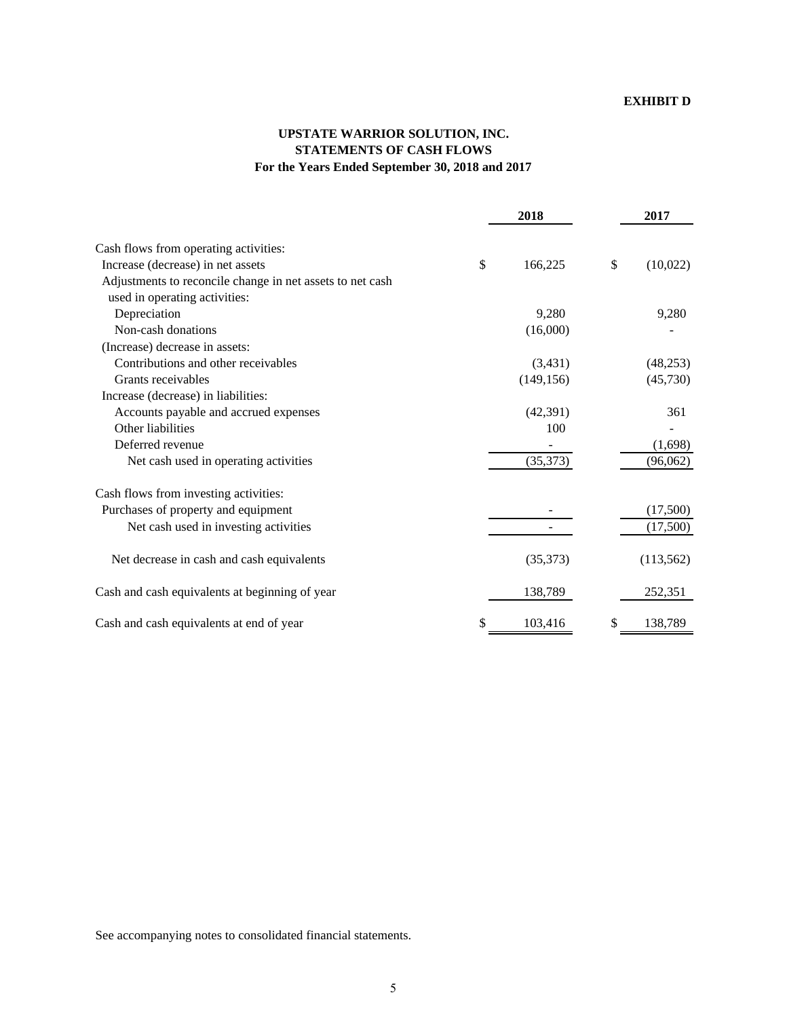# **UPSTATE WARRIOR SOLUTION, INC. STATEMENTS OF CASH FLOWS For the Years Ended September 30, 2018 and 2017**

|                                                           | 2018          |    | 2017       |
|-----------------------------------------------------------|---------------|----|------------|
| Cash flows from operating activities:                     |               |    |            |
| Increase (decrease) in net assets                         | \$<br>166,225 | \$ | (10,022)   |
| Adjustments to reconcile change in net assets to net cash |               |    |            |
| used in operating activities:                             |               |    |            |
| Depreciation                                              | 9,280         |    | 9,280      |
| Non-cash donations                                        | (16,000)      |    |            |
| (Increase) decrease in assets:                            |               |    |            |
| Contributions and other receivables                       | (3,431)       |    | (48, 253)  |
| Grants receivables                                        | (149, 156)    |    | (45,730)   |
| Increase (decrease) in liabilities:                       |               |    |            |
| Accounts payable and accrued expenses                     | (42,391)      |    | 361        |
| Other liabilities                                         | 100           |    |            |
| Deferred revenue                                          |               |    | (1,698)    |
| Net cash used in operating activities                     | (35,373)      |    | (96,062)   |
| Cash flows from investing activities:                     |               |    |            |
| Purchases of property and equipment                       |               |    | (17,500)   |
| Net cash used in investing activities                     |               |    | (17,500)   |
| Net decrease in cash and cash equivalents                 | (35,373)      |    | (113, 562) |
| Cash and cash equivalents at beginning of year            | 138,789       |    | 252,351    |
| Cash and cash equivalents at end of year                  | \$<br>103,416 | S  | 138,789    |

See accompanying notes to consolidated financial statements.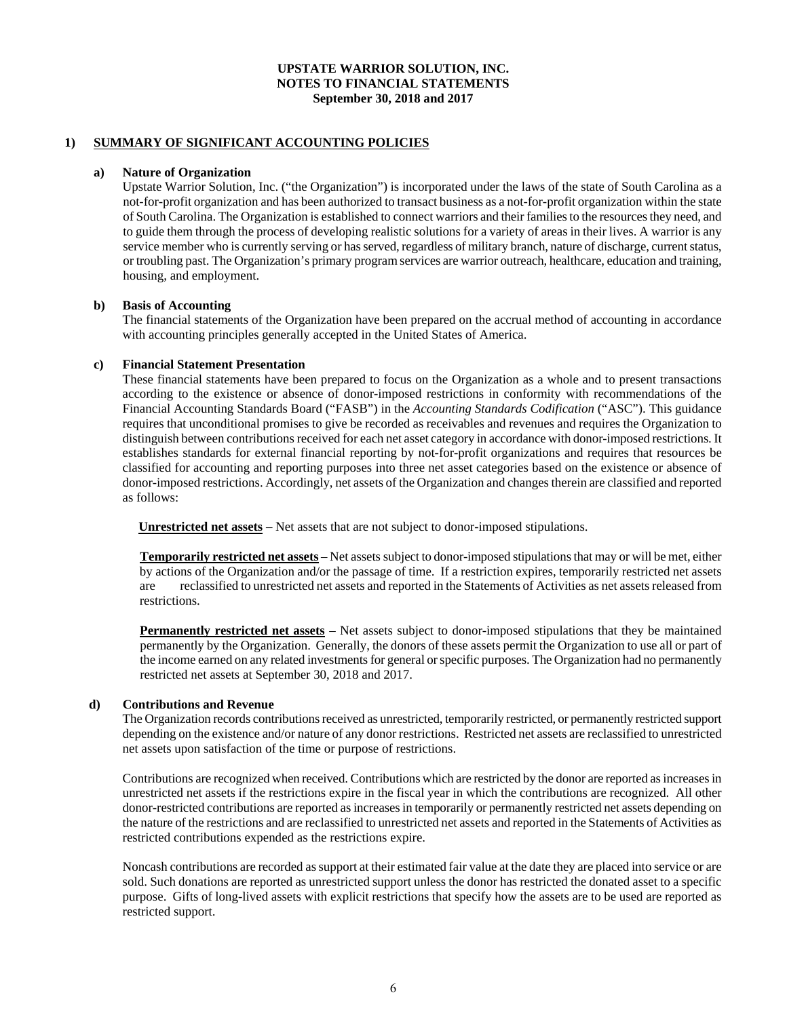## **1) SUMMARY OF SIGNIFICANT ACCOUNTING POLICIES**

### **a) Nature of Organization**

Upstate Warrior Solution, Inc. ("the Organization") is incorporated under the laws of the state of South Carolina as a not-for-profit organization and has been authorized to transact business as a not-for-profit organization within the state of South Carolina. The Organization is established to connect warriors and their families to the resources they need, and to guide them through the process of developing realistic solutions for a variety of areas in their lives. A warrior is any service member who is currently serving or has served, regardless of military branch, nature of discharge, current status, or troubling past. The Organization's primary program services are warrior outreach, healthcare, education and training, housing, and employment.

## **b) Basis of Accounting**

The financial statements of the Organization have been prepared on the accrual method of accounting in accordance with accounting principles generally accepted in the United States of America.

#### **c) Financial Statement Presentation**

These financial statements have been prepared to focus on the Organization as a whole and to present transactions according to the existence or absence of donor-imposed restrictions in conformity with recommendations of the Financial Accounting Standards Board ("FASB") in the *Accounting Standards Codification* ("ASC"). This guidance requires that unconditional promises to give be recorded as receivables and revenues and requires the Organization to distinguish between contributions received for each net asset category in accordance with donor-imposed restrictions. It establishes standards for external financial reporting by not-for-profit organizations and requires that resources be classified for accounting and reporting purposes into three net asset categories based on the existence or absence of donor-imposed restrictions. Accordingly, net assets of the Organization and changes therein are classified and reported as follows:

**Unrestricted net assets** – Net assets that are not subject to donor-imposed stipulations.

 **Temporarily restricted net assets** – Net assets subject to donor-imposed stipulations that may or will be met, either by actions of the Organization and/or the passage of time. If a restriction expires, temporarily restricted net assets are reclassified to unrestricted net assets and reported in the Statements of Activities as net assets released from restrictions.

 **Permanently restricted net assets** – Net assets subject to donor-imposed stipulations that they be maintained permanently by the Organization. Generally, the donors of these assets permit the Organization to use all or part of the income earned on any related investments for general or specific purposes. The Organization had no permanently restricted net assets at September 30, 2018 and 2017.

## **d) Contributions and Revenue**

The Organization records contributions received as unrestricted, temporarily restricted, or permanently restricted support depending on the existence and/or nature of any donor restrictions. Restricted net assets are reclassified to unrestricted net assets upon satisfaction of the time or purpose of restrictions.

 Contributions are recognized when received. Contributions which are restricted by the donor are reported as increases in unrestricted net assets if the restrictions expire in the fiscal year in which the contributions are recognized. All other donor-restricted contributions are reported as increases in temporarily or permanently restricted net assets depending on the nature of the restrictions and are reclassified to unrestricted net assets and reported in the Statements of Activities as restricted contributions expended as the restrictions expire.

 Noncash contributions are recorded as support at their estimated fair value at the date they are placed into service or are sold. Such donations are reported as unrestricted support unless the donor has restricted the donated asset to a specific purpose. Gifts of long-lived assets with explicit restrictions that specify how the assets are to be used are reported as restricted support.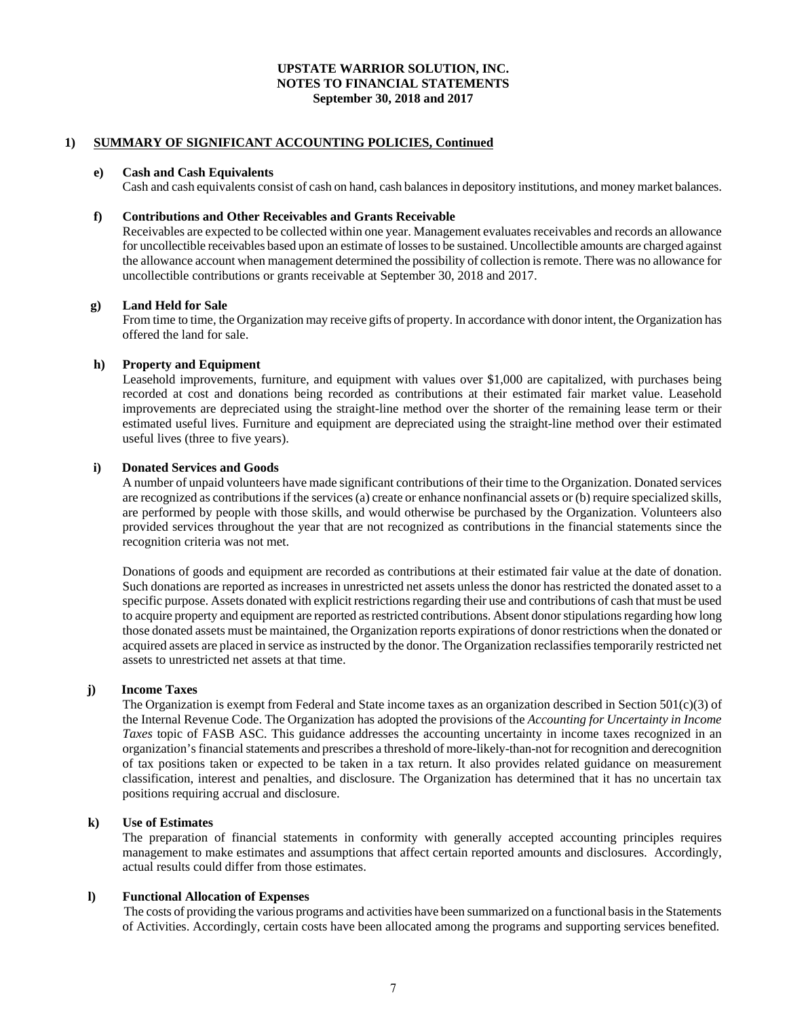## **1) SUMMARY OF SIGNIFICANT ACCOUNTING POLICIES, Continued**

#### **e) Cash and Cash Equivalents**

Cash and cash equivalents consist of cash on hand, cash balances in depository institutions, and money market balances.

### **f) Contributions and Other Receivables and Grants Receivable**

 Receivables are expected to be collected within one year. Management evaluates receivables and records an allowance for uncollectible receivables based upon an estimate of losses to be sustained. Uncollectible amounts are charged against the allowance account when management determined the possibility of collection is remote. There was no allowance for uncollectible contributions or grants receivable at September 30, 2018 and 2017.

#### **g) Land Held for Sale**

From time to time, the Organization may receive gifts of property. In accordance with donor intent, the Organization has offered the land for sale.

#### **h) Property and Equipment**

Leasehold improvements, furniture, and equipment with values over \$1,000 are capitalized, with purchases being recorded at cost and donations being recorded as contributions at their estimated fair market value. Leasehold improvements are depreciated using the straight-line method over the shorter of the remaining lease term or their estimated useful lives. Furniture and equipment are depreciated using the straight-line method over their estimated useful lives (three to five years).

#### **i) Donated Services and Goods**

A number of unpaid volunteers have made significant contributions of their time to the Organization. Donated services are recognized as contributions if the services (a) create or enhance nonfinancial assets or (b) require specialized skills, are performed by people with those skills, and would otherwise be purchased by the Organization. Volunteers also provided services throughout the year that are not recognized as contributions in the financial statements since the recognition criteria was not met.

 Donations of goods and equipment are recorded as contributions at their estimated fair value at the date of donation. Such donations are reported as increases in unrestricted net assets unless the donor has restricted the donated asset to a specific purpose. Assets donated with explicit restrictions regarding their use and contributions of cash that must be used to acquire property and equipment are reported as restricted contributions. Absent donor stipulations regarding how long those donated assets must be maintained, the Organization reports expirations of donor restrictions when the donated or acquired assets are placed in service as instructed by the donor. The Organization reclassifies temporarily restricted net assets to unrestricted net assets at that time.

## **j) Income Taxes**

The Organization is exempt from Federal and State income taxes as an organization described in Section 501(c)(3) of the Internal Revenue Code. The Organization has adopted the provisions of the *Accounting for Uncertainty in Income Taxes* topic of FASB ASC. This guidance addresses the accounting uncertainty in income taxes recognized in an organization's financial statements and prescribes a threshold of more-likely-than-not for recognition and derecognition of tax positions taken or expected to be taken in a tax return. It also provides related guidance on measurement classification, interest and penalties, and disclosure. The Organization has determined that it has no uncertain tax positions requiring accrual and disclosure.

## **k) Use of Estimates**

The preparation of financial statements in conformity with generally accepted accounting principles requires management to make estimates and assumptions that affect certain reported amounts and disclosures. Accordingly, actual results could differ from those estimates.

## **l) Functional Allocation of Expenses**

 The costs of providing the various programs and activities have been summarized on a functional basis in the Statements of Activities. Accordingly, certain costs have been allocated among the programs and supporting services benefited.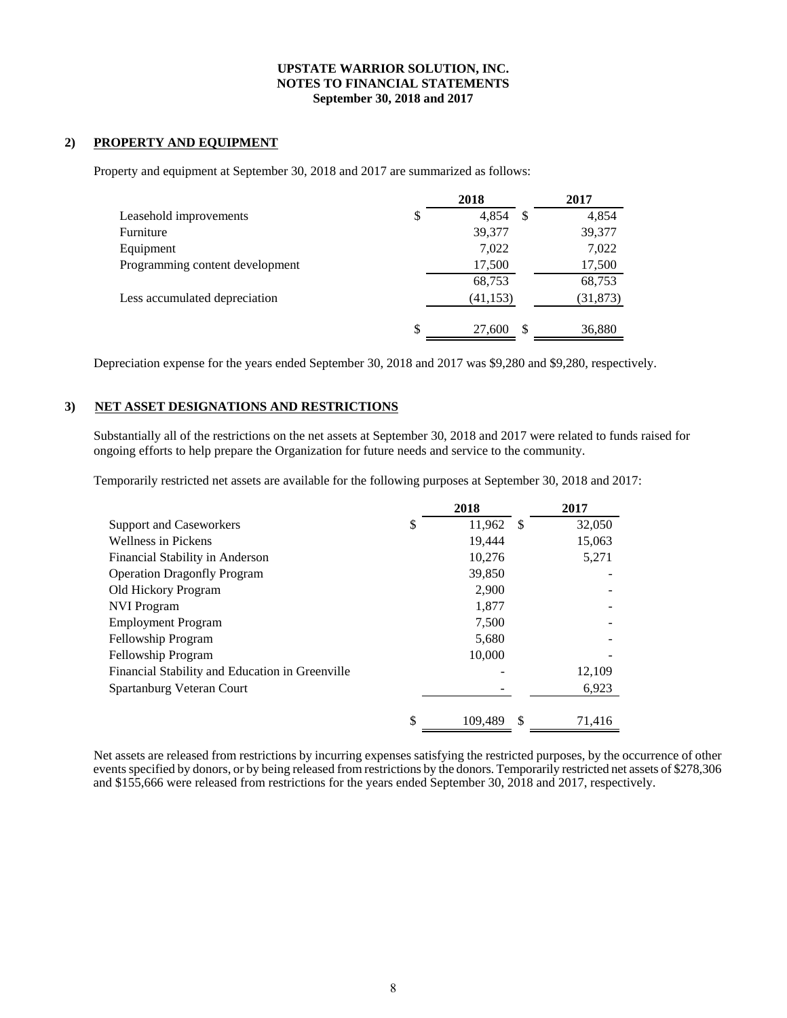# **2) PROPERTY AND EQUIPMENT**

Property and equipment at September 30, 2018 and 2017 are summarized as follows:

|                                 | 2018                         | 2017      |
|---------------------------------|------------------------------|-----------|
| Leasehold improvements          | \$<br>4.854<br><sup>\$</sup> | 4,854     |
| Furniture                       | 39,377                       | 39,377    |
| Equipment                       | 7,022                        | 7,022     |
| Programming content development | 17,500                       | 17,500    |
|                                 | 68,753                       | 68,753    |
| Less accumulated depreciation   | (41, 153)                    | (31, 873) |
|                                 |                              |           |
|                                 | \$<br>-S<br>27,600           | 36,880    |

Depreciation expense for the years ended September 30, 2018 and 2017 was \$9,280 and \$9,280, respectively.

# **3) NET ASSET DESIGNATIONS AND RESTRICTIONS**

Substantially all of the restrictions on the net assets at September 30, 2018 and 2017 were related to funds raised for ongoing efforts to help prepare the Organization for future needs and service to the community.

Temporarily restricted net assets are available for the following purposes at September 30, 2018 and 2017:

|                                                 | 2018          |      | 2017   |
|-------------------------------------------------|---------------|------|--------|
| <b>Support and Caseworkers</b>                  | \$<br>11,962  | - \$ | 32,050 |
| <b>Wellness in Pickens</b>                      | 19,444        |      | 15,063 |
| Financial Stability in Anderson                 | 10,276        |      | 5,271  |
| <b>Operation Dragonfly Program</b>              | 39,850        |      |        |
| Old Hickory Program                             | 2,900         |      |        |
| <b>NVI Program</b>                              | 1,877         |      |        |
| <b>Employment Program</b>                       | 7,500         |      |        |
| Fellowship Program                              | 5,680         |      |        |
| Fellowship Program                              | 10,000        |      |        |
| Financial Stability and Education in Greenville |               |      | 12,109 |
| Spartanburg Veteran Court                       |               |      | 6,923  |
|                                                 | \$<br>109.489 | S    | 71,416 |

 Net assets are released from restrictions by incurring expenses satisfying the restricted purposes, by the occurrence of other events specified by donors, or by being released from restrictions by the donors. Temporarily restricted net assets of \$278,306 and \$155,666 were released from restrictions for the years ended September 30, 2018 and 2017, respectively.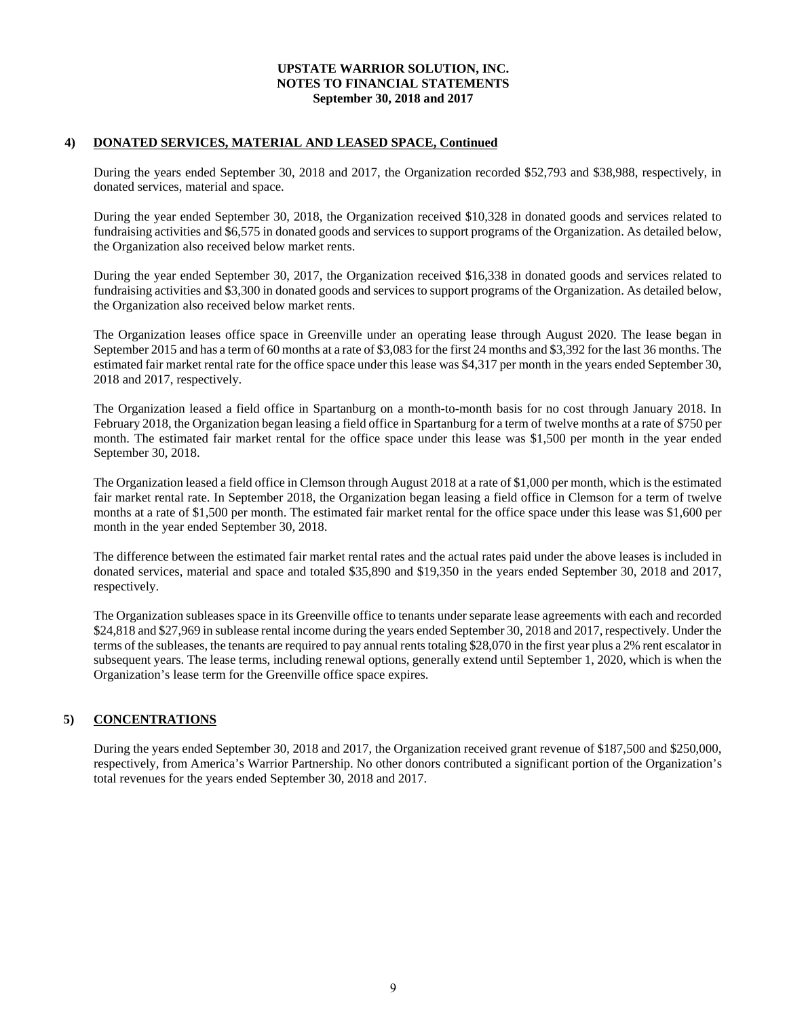## **4) DONATED SERVICES, MATERIAL AND LEASED SPACE, Continued**

During the years ended September 30, 2018 and 2017, the Organization recorded \$52,793 and \$38,988, respectively, in donated services, material and space.

During the year ended September 30, 2018, the Organization received \$10,328 in donated goods and services related to fundraising activities and \$6,575 in donated goods and services to support programs of the Organization. As detailed below, the Organization also received below market rents.

During the year ended September 30, 2017, the Organization received \$16,338 in donated goods and services related to fundraising activities and \$3,300 in donated goods and services to support programs of the Organization. As detailed below, the Organization also received below market rents.

The Organization leases office space in Greenville under an operating lease through August 2020. The lease began in September 2015 and has a term of 60 months at a rate of \$3,083 for the first 24 months and \$3,392 for the last 36 months. The estimated fair market rental rate for the office space under this lease was \$4,317 per month in the years ended September 30, 2018 and 2017, respectively.

The Organization leased a field office in Spartanburg on a month-to-month basis for no cost through January 2018. In February 2018, the Organization began leasing a field office in Spartanburg for a term of twelve months at a rate of \$750 per month. The estimated fair market rental for the office space under this lease was \$1,500 per month in the year ended September 30, 2018.

The Organization leased a field office in Clemson through August 2018 at a rate of \$1,000 per month, which is the estimated fair market rental rate. In September 2018, the Organization began leasing a field office in Clemson for a term of twelve months at a rate of \$1,500 per month. The estimated fair market rental for the office space under this lease was \$1,600 per month in the year ended September 30, 2018.

The difference between the estimated fair market rental rates and the actual rates paid under the above leases is included in donated services, material and space and totaled \$35,890 and \$19,350 in the years ended September 30, 2018 and 2017, respectively.

The Organization subleases space in its Greenville office to tenants under separate lease agreements with each and recorded \$24,818 and \$27,969 in sublease rental income during the years ended September 30, 2018 and 2017, respectively. Under the terms of the subleases, the tenants are required to pay annual rents totaling \$28,070 in the first year plus a 2% rent escalator in subsequent years. The lease terms, including renewal options, generally extend until September 1, 2020, which is when the Organization's lease term for the Greenville office space expires.

# **5) CONCENTRATIONS**

 During the years ended September 30, 2018 and 2017, the Organization received grant revenue of \$187,500 and \$250,000, respectively, from America's Warrior Partnership. No other donors contributed a significant portion of the Organization's total revenues for the years ended September 30, 2018 and 2017.